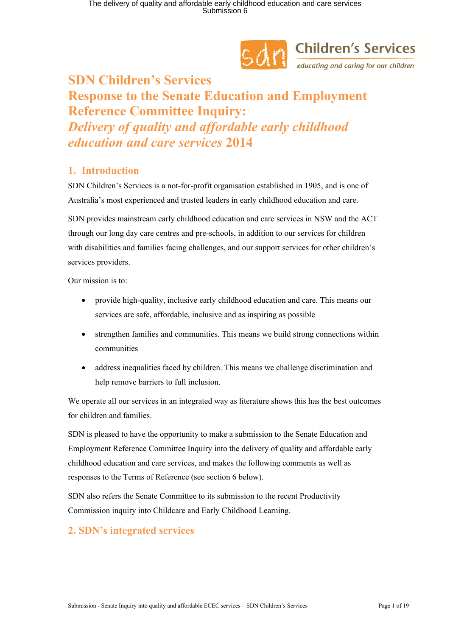

# **SAM** Children's Services

### **SDN Children's Services Response to the Senate Education and Employment Reference Committee Inquiry:** *Delivery of quality and affordable early childhood education and care services* **2014**

### **1. Introduction**

SDN Children's Services is a not-for-profit organisation established in 1905, and is one of Australia's most experienced and trusted leaders in early childhood education and care.

SDN provides mainstream early childhood education and care services in NSW and the ACT through our long day care centres and pre-schools, in addition to our services for children with disabilities and families facing challenges, and our support services for other children's services providers.

Our mission is to:

- provide high-quality, inclusive early childhood education and care. This means our services are safe, affordable, inclusive and as inspiring as possible
- strengthen families and communities. This means we build strong connections within communities
- address inequalities faced by children. This means we challenge discrimination and help remove barriers to full inclusion.

We operate all our services in an integrated way as literature shows this has the best outcomes for children and families.

SDN is pleased to have the opportunity to make a submission to the Senate Education and Employment Reference Committee Inquiry into the delivery of quality and affordable early childhood education and care services, and makes the following comments as well as responses to the Terms of Reference (see section 6 below).

SDN also refers the Senate Committee to its submission to the recent Productivity Commission inquiry into Childcare and Early Childhood Learning.

### **2. SDN's integrated services**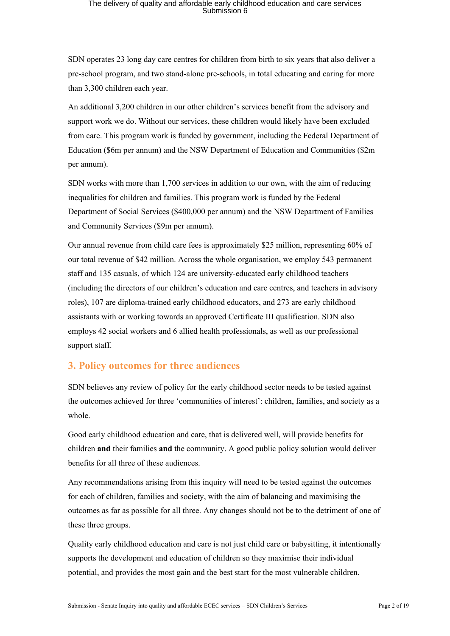SDN operates 23 long day care centres for children from birth to six years that also deliver a pre-school program, and two stand-alone pre-schools, in total educating and caring for more than 3,300 children each year.

An additional 3,200 children in our other children's services benefit from the advisory and support work we do. Without our services, these children would likely have been excluded from care. This program work is funded by government, including the Federal Department of Education (\$6m per annum) and the NSW Department of Education and Communities (\$2m per annum).

SDN works with more than 1,700 services in addition to our own, with the aim of reducing inequalities for children and families. This program work is funded by the Federal Department of Social Services (\$400,000 per annum) and the NSW Department of Families and Community Services (\$9m per annum).

Our annual revenue from child care fees is approximately \$25 million, representing 60% of our total revenue of \$42 million. Across the whole organisation, we employ 543 permanent staff and 135 casuals, of which 124 are university-educated early childhood teachers (including the directors of our children's education and care centres, and teachers in advisory roles), 107 are diploma-trained early childhood educators, and 273 are early childhood assistants with or working towards an approved Certificate III qualification. SDN also employs 42 social workers and 6 allied health professionals, as well as our professional support staff.

### **3. Policy outcomes for three audiences**

SDN believes any review of policy for the early childhood sector needs to be tested against the outcomes achieved for three 'communities of interest': children, families, and society as a whole.

Good early childhood education and care, that is delivered well, will provide benefits for children **and** their families **and** the community. A good public policy solution would deliver benefits for all three of these audiences.

Any recommendations arising from this inquiry will need to be tested against the outcomes for each of children, families and society, with the aim of balancing and maximising the outcomes as far as possible for all three. Any changes should not be to the detriment of one of these three groups.

Quality early childhood education and care is not just child care or babysitting, it intentionally supports the development and education of children so they maximise their individual potential, and provides the most gain and the best start for the most vulnerable children.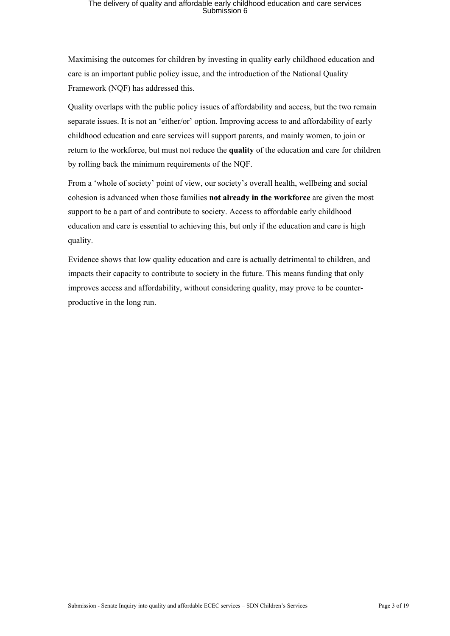Maximising the outcomes for children by investing in quality early childhood education and care is an important public policy issue, and the introduction of the National Quality Framework (NQF) has addressed this.

Quality overlaps with the public policy issues of affordability and access, but the two remain separate issues. It is not an 'either/or' option. Improving access to and affordability of early childhood education and care services will support parents, and mainly women, to join or return to the workforce, but must not reduce the **quality** of the education and care for children by rolling back the minimum requirements of the NQF.

From a 'whole of society' point of view, our society's overall health, wellbeing and social cohesion is advanced when those families **not already in the workforce** are given the most support to be a part of and contribute to society. Access to affordable early childhood education and care is essential to achieving this, but only if the education and care is high quality.

Evidence shows that low quality education and care is actually detrimental to children, and impacts their capacity to contribute to society in the future. This means funding that only improves access and affordability, without considering quality, may prove to be counterproductive in the long run.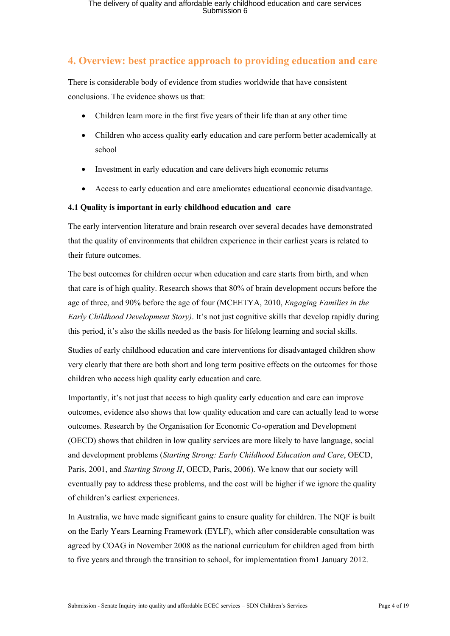### **4. Overview: best practice approach to providing education and care**

There is considerable body of evidence from studies worldwide that have consistent conclusions. The evidence shows us that:

- Children learn more in the first five years of their life than at any other time
- Children who access quality early education and care perform better academically at school
- Investment in early education and care delivers high economic returns
- Access to early education and care ameliorates educational economic disadvantage.

#### **4.1 Quality is important in early childhood education and care**

The early intervention literature and brain research over several decades have demonstrated that the quality of environments that children experience in their earliest years is related to their future outcomes.

The best outcomes for children occur when education and care starts from birth, and when that care is of high quality. Research shows that 80% of brain development occurs before the age of three, and 90% before the age of four (MCEETYA, 2010, *Engaging Families in the Early Childhood Development Story)*. It's not just cognitive skills that develop rapidly during this period, it's also the skills needed as the basis for lifelong learning and social skills.

Studies of early childhood education and care interventions for disadvantaged children show very clearly that there are both short and long term positive effects on the outcomes for those children who access high quality early education and care.

Importantly, it's not just that access to high quality early education and care can improve outcomes, evidence also shows that low quality education and care can actually lead to worse outcomes. Research by the Organisation for Economic Co-operation and Development (OECD) shows that children in low quality services are more likely to have language, social and development problems (*Starting Strong: Early Childhood Education and Care*, OECD, Paris, 2001, and *Starting Strong II*, OECD, Paris, 2006). We know that our society will eventually pay to address these problems, and the cost will be higher if we ignore the quality of children's earliest experiences.

In Australia, we have made significant gains to ensure quality for children. The NQF is built on the Early Years Learning Framework (EYLF), which after considerable consultation was agreed by COAG in November 2008 as the national curriculum for children aged from birth to five years and through the transition to school, for implementation from1 January 2012.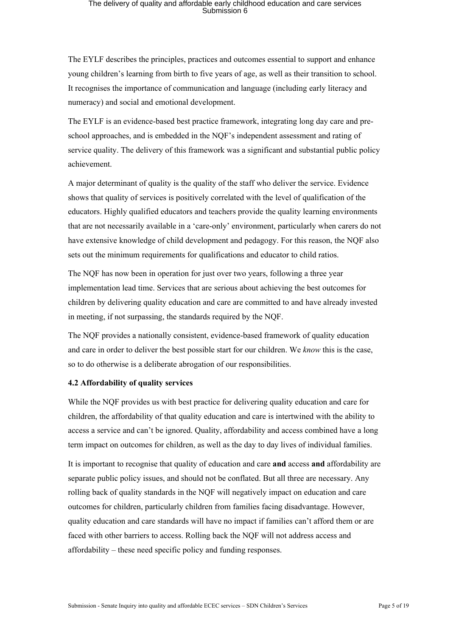The EYLF describes the principles, practices and outcomes essential to support and enhance young children's learning from birth to five years of age, as well as their transition to school. It recognises the importance of communication and language (including early literacy and numeracy) and social and emotional development.

The EYLF is an evidence-based best practice framework, integrating long day care and preschool approaches, and is embedded in the NQF's independent assessment and rating of service quality. The delivery of this framework was a significant and substantial public policy achievement.

A major determinant of quality is the quality of the staff who deliver the service. Evidence shows that quality of services is positively correlated with the level of qualification of the educators. Highly qualified educators and teachers provide the quality learning environments that are not necessarily available in a 'care-only' environment, particularly when carers do not have extensive knowledge of child development and pedagogy. For this reason, the NQF also sets out the minimum requirements for qualifications and educator to child ratios.

The NQF has now been in operation for just over two years, following a three year implementation lead time. Services that are serious about achieving the best outcomes for children by delivering quality education and care are committed to and have already invested in meeting, if not surpassing, the standards required by the NQF.

The NQF provides a nationally consistent, evidence-based framework of quality education and care in order to deliver the best possible start for our children. We *know* this is the case, so to do otherwise is a deliberate abrogation of our responsibilities.

#### **4.2 Affordability of quality services**

While the NQF provides us with best practice for delivering quality education and care for children, the affordability of that quality education and care is intertwined with the ability to access a service and can't be ignored. Quality, affordability and access combined have a long term impact on outcomes for children, as well as the day to day lives of individual families.

It is important to recognise that quality of education and care **and** access **and** affordability are separate public policy issues, and should not be conflated. But all three are necessary. Any rolling back of quality standards in the NQF will negatively impact on education and care outcomes for children, particularly children from families facing disadvantage. However, quality education and care standards will have no impact if families can't afford them or are faced with other barriers to access. Rolling back the NQF will not address access and affordability – these need specific policy and funding responses.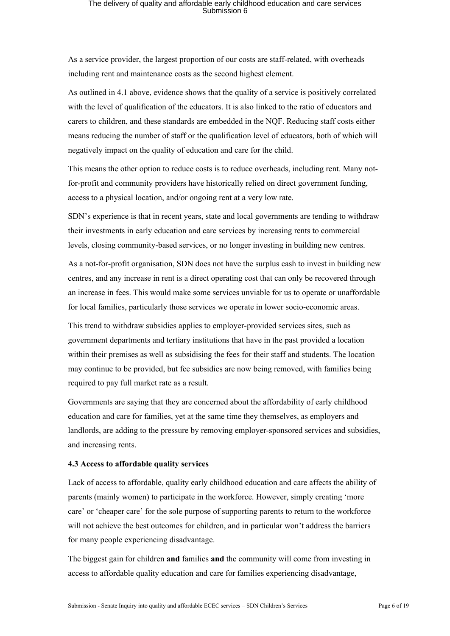As a service provider, the largest proportion of our costs are staff-related, with overheads including rent and maintenance costs as the second highest element.

As outlined in 4.1 above, evidence shows that the quality of a service is positively correlated with the level of qualification of the educators. It is also linked to the ratio of educators and carers to children, and these standards are embedded in the NQF. Reducing staff costs either means reducing the number of staff or the qualification level of educators, both of which will negatively impact on the quality of education and care for the child.

This means the other option to reduce costs is to reduce overheads, including rent. Many notfor-profit and community providers have historically relied on direct government funding, access to a physical location, and/or ongoing rent at a very low rate.

SDN's experience is that in recent years, state and local governments are tending to withdraw their investments in early education and care services by increasing rents to commercial levels, closing community-based services, or no longer investing in building new centres.

As a not-for-profit organisation, SDN does not have the surplus cash to invest in building new centres, and any increase in rent is a direct operating cost that can only be recovered through an increase in fees. This would make some services unviable for us to operate or unaffordable for local families, particularly those services we operate in lower socio-economic areas.

This trend to withdraw subsidies applies to employer-provided services sites, such as government departments and tertiary institutions that have in the past provided a location within their premises as well as subsidising the fees for their staff and students. The location may continue to be provided, but fee subsidies are now being removed, with families being required to pay full market rate as a result.

Governments are saying that they are concerned about the affordability of early childhood education and care for families, yet at the same time they themselves, as employers and landlords, are adding to the pressure by removing employer-sponsored services and subsidies, and increasing rents.

#### **4.3 Access to affordable quality services**

Lack of access to affordable, quality early childhood education and care affects the ability of parents (mainly women) to participate in the workforce. However, simply creating 'more care' or 'cheaper care' for the sole purpose of supporting parents to return to the workforce will not achieve the best outcomes for children, and in particular won't address the barriers for many people experiencing disadvantage.

The biggest gain for children **and** families **and** the community will come from investing in access to affordable quality education and care for families experiencing disadvantage,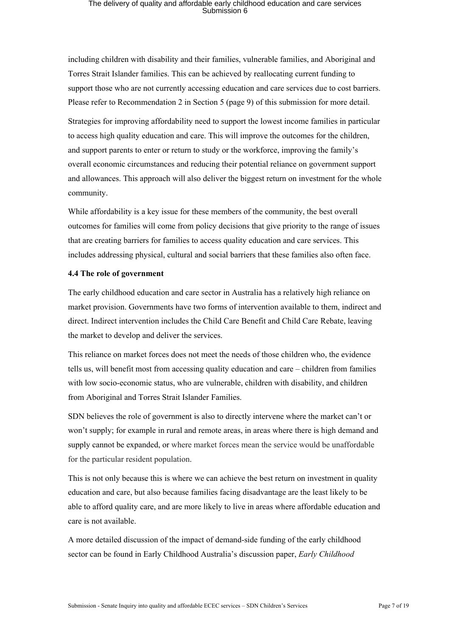including children with disability and their families, vulnerable families, and Aboriginal and Torres Strait Islander families. This can be achieved by reallocating current funding to support those who are not currently accessing education and care services due to cost barriers. Please refer to Recommendation 2 in Section 5 (page 9) of this submission for more detail.

Strategies for improving affordability need to support the lowest income families in particular to access high quality education and care. This will improve the outcomes for the children, and support parents to enter or return to study or the workforce, improving the family's overall economic circumstances and reducing their potential reliance on government support and allowances. This approach will also deliver the biggest return on investment for the whole community.

While affordability is a key issue for these members of the community, the best overall outcomes for families will come from policy decisions that give priority to the range of issues that are creating barriers for families to access quality education and care services. This includes addressing physical, cultural and social barriers that these families also often face.

#### **4.4 The role of government**

The early childhood education and care sector in Australia has a relatively high reliance on market provision. Governments have two forms of intervention available to them, indirect and direct. Indirect intervention includes the Child Care Benefit and Child Care Rebate, leaving the market to develop and deliver the services.

This reliance on market forces does not meet the needs of those children who, the evidence tells us, will benefit most from accessing quality education and care – children from families with low socio-economic status, who are vulnerable, children with disability, and children from Aboriginal and Torres Strait Islander Families.

SDN believes the role of government is also to directly intervene where the market can't or won't supply; for example in rural and remote areas, in areas where there is high demand and supply cannot be expanded, or where market forces mean the service would be unaffordable for the particular resident population.

This is not only because this is where we can achieve the best return on investment in quality education and care, but also because families facing disadvantage are the least likely to be able to afford quality care, and are more likely to live in areas where affordable education and care is not available.

A more detailed discussion of the impact of demand-side funding of the early childhood sector can be found in Early Childhood Australia's discussion paper, *Early Childhood*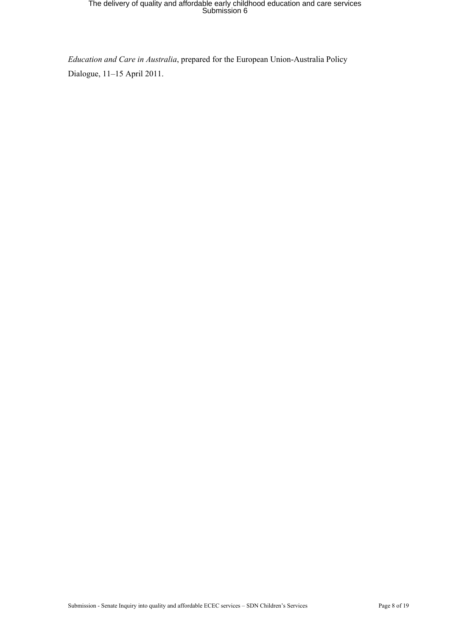*Education and Care in Australia*, prepared for the European Union-Australia Policy Dialogue, 11–15 April 2011.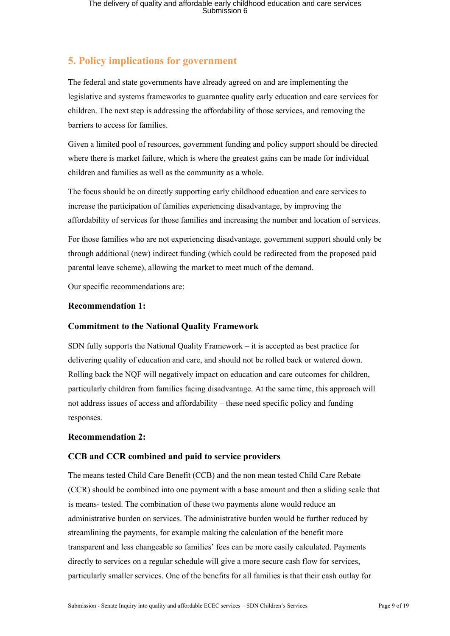### **5. Policy implications for government**

The federal and state governments have already agreed on and are implementing the legislative and systems frameworks to guarantee quality early education and care services for children. The next step is addressing the affordability of those services, and removing the barriers to access for families.

Given a limited pool of resources, government funding and policy support should be directed where there is market failure, which is where the greatest gains can be made for individual children and families as well as the community as a whole.

The focus should be on directly supporting early childhood education and care services to increase the participation of families experiencing disadvantage, by improving the affordability of services for those families and increasing the number and location of services.

For those families who are not experiencing disadvantage, government support should only be through additional (new) indirect funding (which could be redirected from the proposed paid parental leave scheme), allowing the market to meet much of the demand.

Our specific recommendations are:

### **Recommendation 1:**

### **Commitment to the National Quality Framework**

SDN fully supports the National Quality Framework – it is accepted as best practice for delivering quality of education and care, and should not be rolled back or watered down. Rolling back the NQF will negatively impact on education and care outcomes for children, particularly children from families facing disadvantage. At the same time, this approach will not address issues of access and affordability – these need specific policy and funding responses.

#### **Recommendation 2:**

### **CCB and CCR combined and paid to service providers**

The means tested Child Care Benefit (CCB) and the non mean tested Child Care Rebate (CCR) should be combined into one payment with a base amount and then a sliding scale that is means- tested. The combination of these two payments alone would reduce an administrative burden on services. The administrative burden would be further reduced by streamlining the payments, for example making the calculation of the benefit more transparent and less changeable so families' fees can be more easily calculated. Payments directly to services on a regular schedule will give a more secure cash flow for services, particularly smaller services. One of the benefits for all families is that their cash outlay for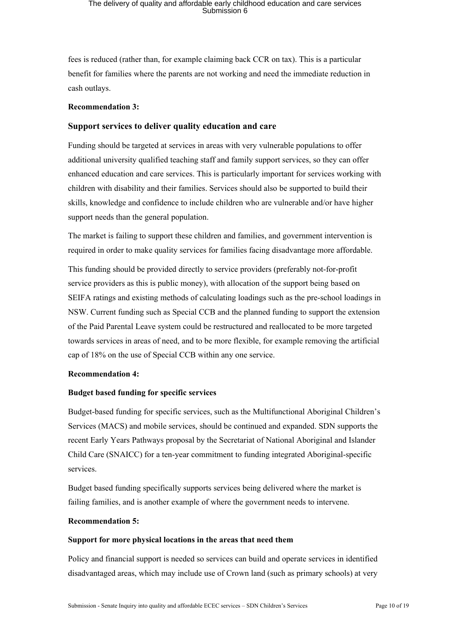fees is reduced (rather than, for example claiming back CCR on tax). This is a particular benefit for families where the parents are not working and need the immediate reduction in cash outlays.

#### **Recommendation 3:**

#### **Support services to deliver quality education and care**

Funding should be targeted at services in areas with very vulnerable populations to offer additional university qualified teaching staff and family support services, so they can offer enhanced education and care services. This is particularly important for services working with children with disability and their families. Services should also be supported to build their skills, knowledge and confidence to include children who are vulnerable and/or have higher support needs than the general population.

The market is failing to support these children and families, and government intervention is required in order to make quality services for families facing disadvantage more affordable.

This funding should be provided directly to service providers (preferably not-for-profit service providers as this is public money), with allocation of the support being based on SEIFA ratings and existing methods of calculating loadings such as the pre-school loadings in NSW. Current funding such as Special CCB and the planned funding to support the extension of the Paid Parental Leave system could be restructured and reallocated to be more targeted towards services in areas of need, and to be more flexible, for example removing the artificial cap of 18% on the use of Special CCB within any one service.

#### **Recommendation 4:**

#### **Budget based funding for specific services**

Budget-based funding for specific services, such as the Multifunctional Aboriginal Children's Services (MACS) and mobile services, should be continued and expanded. SDN supports the recent Early Years Pathways proposal by the Secretariat of National Aboriginal and Islander Child Care (SNAICC) for a ten-year commitment to funding integrated Aboriginal-specific services.

Budget based funding specifically supports services being delivered where the market is failing families, and is another example of where the government needs to intervene.

#### **Recommendation 5:**

#### **Support for more physical locations in the areas that need them**

Policy and financial support is needed so services can build and operate services in identified disadvantaged areas, which may include use of Crown land (such as primary schools) at very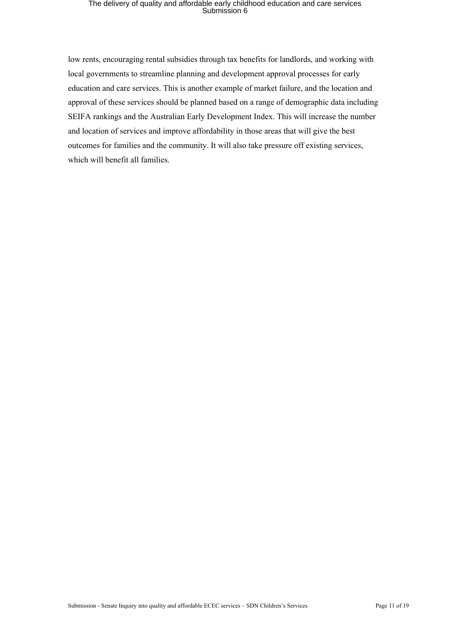low rents, encouraging rental subsidies through tax benefits for landlords, and working with local governments to streamline planning and development approval processes for early education and care services. This is another example of market failure, and the location and approval of these services should be planned based on a range of demographic data including SEIFA rankings and the Australian Early Development Index. This will increase the number and location of services and improve affordability in those areas that will give the best outcomes for families and the community. It will also take pressure off existing services, which will benefit all families.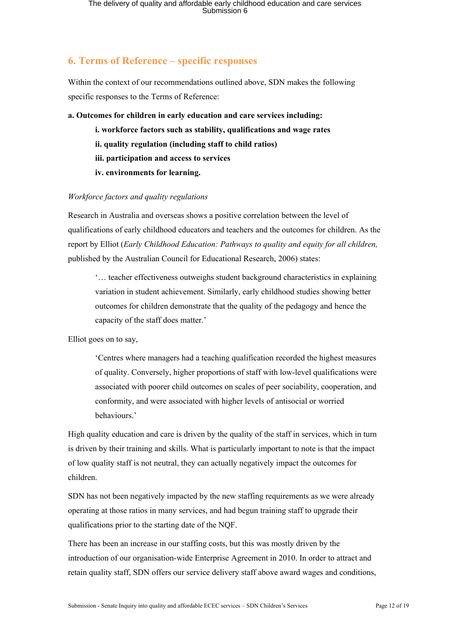### **6. Terms of Reference – specific responses**

Within the context of our recommendations outlined above, SDN makes the following specific responses to the Terms of Reference:

#### **a. Outcomes for children in early education and care services including:**

- **i. workforce factors such as stability, qualifications and wage rates**
	- **ii. quality regulation (including staff to child ratios)**
	- **iii. participation and access to services**
	- **iv. environments for learning.**

#### *Workforce factors and quality regulations*

Research in Australia and overseas shows a positive correlation between the level of qualifications of early childhood educators and teachers and the outcomes for children. As the report by Elliot (*Early Childhood Education: Pathways to quality and equity for all children,* published by the Australian Council for Educational Research, 2006) states:

'… teacher effectiveness outweighs student background characteristics in explaining variation in student achievement. Similarly, early childhood studies showing better outcomes for children demonstrate that the quality of the pedagogy and hence the capacity of the staff does matter.'

Elliot goes on to say,

'Centres where managers had a teaching qualification recorded the highest measures of quality. Conversely, higher proportions of staff with low-level qualifications were associated with poorer child outcomes on scales of peer sociability, cooperation, and conformity, and were associated with higher levels of antisocial or worried behaviours.'

High quality education and care is driven by the quality of the staff in services, which in turn is driven by their training and skills. What is particularly important to note is that the impact of low quality staff is not neutral, they can actually negatively impact the outcomes for children.

SDN has not been negatively impacted by the new staffing requirements as we were already operating at those ratios in many services, and had begun training staff to upgrade their qualifications prior to the starting date of the NQF.

There has been an increase in our staffing costs, but this was mostly driven by the introduction of our organisation-wide Enterprise Agreement in 2010. In order to attract and retain quality staff, SDN offers our service delivery staff above award wages and conditions,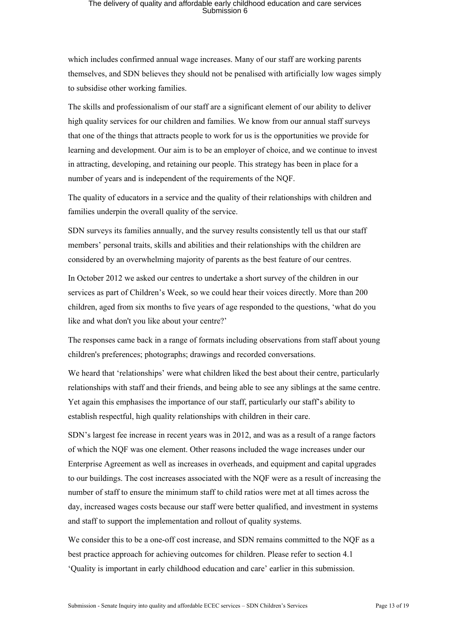which includes confirmed annual wage increases. Many of our staff are working parents themselves, and SDN believes they should not be penalised with artificially low wages simply to subsidise other working families.

The skills and professionalism of our staff are a significant element of our ability to deliver high quality services for our children and families. We know from our annual staff surveys that one of the things that attracts people to work for us is the opportunities we provide for learning and development. Our aim is to be an employer of choice, and we continue to invest in attracting, developing, and retaining our people. This strategy has been in place for a number of years and is independent of the requirements of the NQF.

The quality of educators in a service and the quality of their relationships with children and families underpin the overall quality of the service.

SDN surveys its families annually, and the survey results consistently tell us that our staff members' personal traits, skills and abilities and their relationships with the children are considered by an overwhelming majority of parents as the best feature of our centres.

In October 2012 we asked our centres to undertake a short survey of the children in our services as part of Children's Week, so we could hear their voices directly. More than 200 children, aged from six months to five years of age responded to the questions, 'what do you like and what don't you like about your centre?'

The responses came back in a range of formats including observations from staff about young children's preferences; photographs; drawings and recorded conversations.

We heard that 'relationships' were what children liked the best about their centre, particularly relationships with staff and their friends, and being able to see any siblings at the same centre. Yet again this emphasises the importance of our staff, particularly our staff's ability to establish respectful, high quality relationships with children in their care.

SDN's largest fee increase in recent years was in 2012, and was as a result of a range factors of which the NQF was one element. Other reasons included the wage increases under our Enterprise Agreement as well as increases in overheads, and equipment and capital upgrades to our buildings. The cost increases associated with the NQF were as a result of increasing the number of staff to ensure the minimum staff to child ratios were met at all times across the day, increased wages costs because our staff were better qualified, and investment in systems and staff to support the implementation and rollout of quality systems.

We consider this to be a one-off cost increase, and SDN remains committed to the NQF as a best practice approach for achieving outcomes for children. Please refer to section 4.1 'Quality is important in early childhood education and care' earlier in this submission.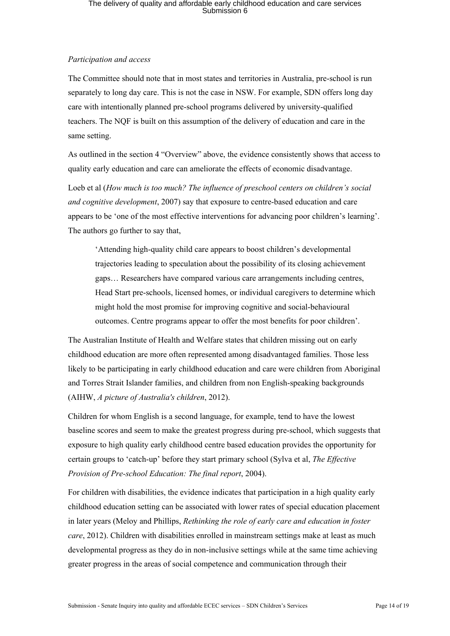#### *Participation and access*

The Committee should note that in most states and territories in Australia, pre-school is run separately to long day care. This is not the case in NSW. For example, SDN offers long day care with intentionally planned pre-school programs delivered by university-qualified teachers. The NQF is built on this assumption of the delivery of education and care in the same setting.

As outlined in the section 4 "Overview" above, the evidence consistently shows that access to quality early education and care can ameliorate the effects of economic disadvantage.

Loeb et al (*How much is too much? The influence of preschool centers on children's social and cognitive development*, 2007) say that exposure to centre-based education and care appears to be 'one of the most effective interventions for advancing poor children's learning'. The authors go further to say that,

'Attending high-quality child care appears to boost children's developmental trajectories leading to speculation about the possibility of its closing achievement gaps… Researchers have compared various care arrangements including centres, Head Start pre-schools, licensed homes, or individual caregivers to determine which might hold the most promise for improving cognitive and social-behavioural outcomes. Centre programs appear to offer the most benefits for poor children'.

The Australian Institute of Health and Welfare states that children missing out on early childhood education are more often represented among disadvantaged families. Those less likely to be participating in early childhood education and care were children from Aboriginal and Torres Strait Islander families, and children from non English-speaking backgrounds (AIHW, *A picture of Australia's children*, 2012).

Children for whom English is a second language, for example, tend to have the lowest baseline scores and seem to make the greatest progress during pre-school, which suggests that exposure to high quality early childhood centre based education provides the opportunity for certain groups to 'catch-up' before they start primary school (Sylva et al, *The Effective Provision of Pre-school Education: The final report*, 2004).

For children with disabilities, the evidence indicates that participation in a high quality early childhood education setting can be associated with lower rates of special education placement in later years (Meloy and Phillips, *Rethinking the role of early care and education in foster care*, 2012). Children with disabilities enrolled in mainstream settings make at least as much developmental progress as they do in non-inclusive settings while at the same time achieving greater progress in the areas of social competence and communication through their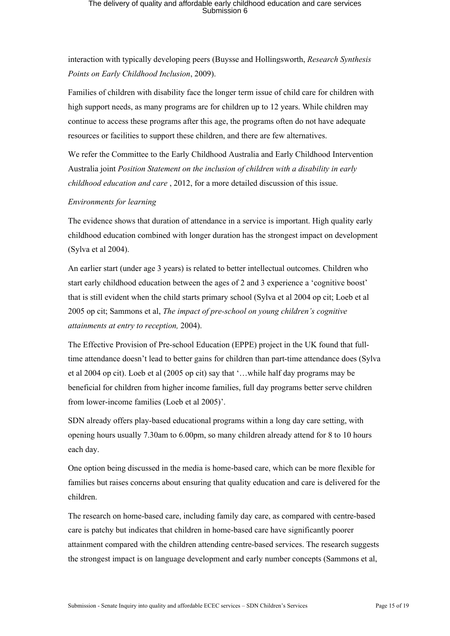interaction with typically developing peers (Buysse and Hollingsworth, *Research Synthesis Points on Early Childhood Inclusion*, 2009).

Families of children with disability face the longer term issue of child care for children with high support needs, as many programs are for children up to 12 years. While children may continue to access these programs after this age, the programs often do not have adequate resources or facilities to support these children, and there are few alternatives.

We refer the Committee to the Early Childhood Australia and Early Childhood Intervention Australia joint *Position Statement on the inclusion of children with a disability in early childhood education and care* , 2012, for a more detailed discussion of this issue.

#### *Environments for learning*

The evidence shows that duration of attendance in a service is important. High quality early childhood education combined with longer duration has the strongest impact on development (Sylva et al 2004).

An earlier start (under age 3 years) is related to better intellectual outcomes. Children who start early childhood education between the ages of 2 and 3 experience a 'cognitive boost' that is still evident when the child starts primary school (Sylva et al 2004 op cit; Loeb et al 2005 op cit; Sammons et al, *The impact of pre-school on young children's cognitive attainments at entry to reception,* 2004).

The Effective Provision of Pre-school Education (EPPE) project in the UK found that fulltime attendance doesn't lead to better gains for children than part-time attendance does (Sylva et al 2004 op cit). Loeb et al (2005 op cit) say that '…while half day programs may be beneficial for children from higher income families, full day programs better serve children from lower-income families (Loeb et al 2005)'.

SDN already offers play-based educational programs within a long day care setting, with opening hours usually 7.30am to 6.00pm, so many children already attend for 8 to 10 hours each day.

One option being discussed in the media is home-based care, which can be more flexible for families but raises concerns about ensuring that quality education and care is delivered for the children.

The research on home-based care, including family day care, as compared with centre-based care is patchy but indicates that children in home-based care have significantly poorer attainment compared with the children attending centre-based services. The research suggests the strongest impact is on language development and early number concepts (Sammons et al,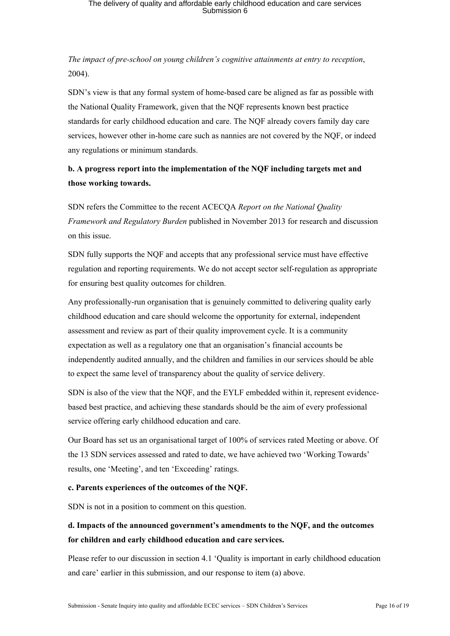*The impact of pre-school on young children's cognitive attainments at entry to reception*, 2004).

SDN's view is that any formal system of home-based care be aligned as far as possible with the National Quality Framework, given that the NQF represents known best practice standards for early childhood education and care. The NQF already covers family day care services, however other in-home care such as nannies are not covered by the NQF, or indeed any regulations or minimum standards.

### **b. A progress report into the implementation of the NQF including targets met and those working towards.**

SDN refers the Committee to the recent ACECQA *Report on the National Quality Framework and Regulatory Burden* published in November 2013 for research and discussion on this issue.

SDN fully supports the NQF and accepts that any professional service must have effective regulation and reporting requirements. We do not accept sector self-regulation as appropriate for ensuring best quality outcomes for children.

Any professionally-run organisation that is genuinely committed to delivering quality early childhood education and care should welcome the opportunity for external, independent assessment and review as part of their quality improvement cycle. It is a community expectation as well as a regulatory one that an organisation's financial accounts be independently audited annually, and the children and families in our services should be able to expect the same level of transparency about the quality of service delivery.

SDN is also of the view that the NQF, and the EYLF embedded within it, represent evidencebased best practice, and achieving these standards should be the aim of every professional service offering early childhood education and care.

Our Board has set us an organisational target of 100% of services rated Meeting or above. Of the 13 SDN services assessed and rated to date, we have achieved two 'Working Towards' results, one 'Meeting', and ten 'Exceeding' ratings.

#### **c. Parents experiences of the outcomes of the NQF.**

SDN is not in a position to comment on this question.

### **d. Impacts of the announced government's amendments to the NQF, and the outcomes for children and early childhood education and care services.**

Please refer to our discussion in section 4.1 'Quality is important in early childhood education and care' earlier in this submission, and our response to item (a) above.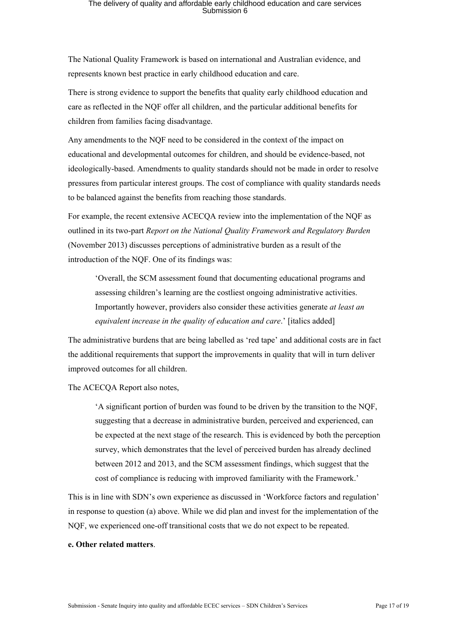The National Quality Framework is based on international and Australian evidence, and represents known best practice in early childhood education and care.

There is strong evidence to support the benefits that quality early childhood education and care as reflected in the NQF offer all children, and the particular additional benefits for children from families facing disadvantage.

Any amendments to the NQF need to be considered in the context of the impact on educational and developmental outcomes for children, and should be evidence-based, not ideologically-based. Amendments to quality standards should not be made in order to resolve pressures from particular interest groups. The cost of compliance with quality standards needs to be balanced against the benefits from reaching those standards.

For example, the recent extensive ACECQA review into the implementation of the NQF as outlined in its two-part *Report on the National Quality Framework and Regulatory Burden* (November 2013) discusses perceptions of administrative burden as a result of the introduction of the NQF. One of its findings was:

'Overall, the SCM assessment found that documenting educational programs and assessing children's learning are the costliest ongoing administrative activities. Importantly however, providers also consider these activities generate *at least an equivalent increase in the quality of education and care*.' [italics added]

The administrative burdens that are being labelled as 'red tape' and additional costs are in fact the additional requirements that support the improvements in quality that will in turn deliver improved outcomes for all children.

The ACECQA Report also notes,

'A significant portion of burden was found to be driven by the transition to the NQF, suggesting that a decrease in administrative burden, perceived and experienced, can be expected at the next stage of the research. This is evidenced by both the perception survey, which demonstrates that the level of perceived burden has already declined between 2012 and 2013, and the SCM assessment findings, which suggest that the cost of compliance is reducing with improved familiarity with the Framework.'

This is in line with SDN's own experience as discussed in 'Workforce factors and regulation' in response to question (a) above. While we did plan and invest for the implementation of the NQF, we experienced one-off transitional costs that we do not expect to be repeated.

#### **e. Other related matters**.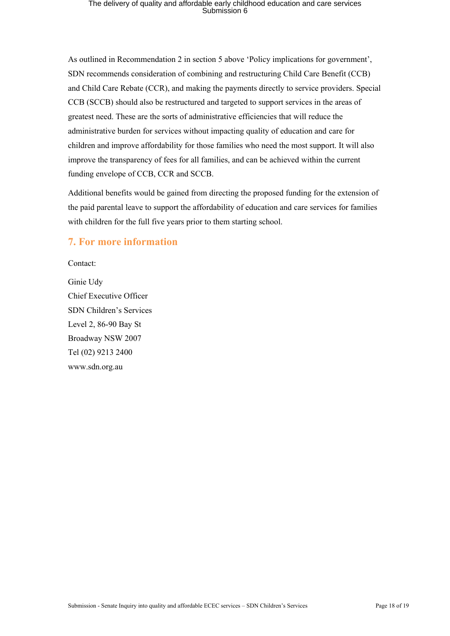As outlined in Recommendation 2 in section 5 above 'Policy implications for government', SDN recommends consideration of combining and restructuring Child Care Benefit (CCB) and Child Care Rebate (CCR), and making the payments directly to service providers. Special CCB (SCCB) should also be restructured and targeted to support services in the areas of greatest need. These are the sorts of administrative efficiencies that will reduce the administrative burden for services without impacting quality of education and care for children and improve affordability for those families who need the most support. It will also improve the transparency of fees for all families, and can be achieved within the current funding envelope of CCB, CCR and SCCB.

Additional benefits would be gained from directing the proposed funding for the extension of the paid parental leave to support the affordability of education and care services for families with children for the full five years prior to them starting school.

### **7. For more information**

Contact:

Ginie Udy Chief Executive Officer SDN Children's Services Level 2, 86-90 Bay St Broadway NSW 2007 Tel (02) 9213 2400 www.sdn.org.au